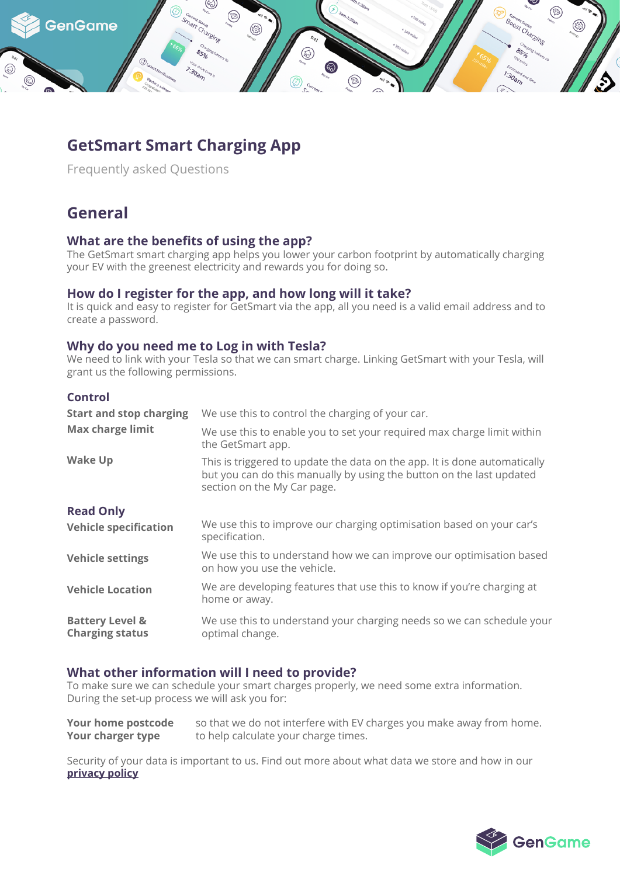

# **GetSmart Smart Charging App**

Frequently asked Questions

## **General**

## **What are the benefits of using the app?**

The GetSmart smart charging app helps you lower your carbon footprint by automatically charging your EV with the greenest electricity and rewards you for doing so.

## **How do I register for the app, and how long will it take?**

It is quick and easy to register for GetSmart via the app, all you need is a valid email address and to create a password.

## **Why do you need me to Log in with Tesla?**

We need to link with your Tesla so that we can smart charge. Linking GetSmart with your Tesla, will grant us the following permissions.

### **Control**

| <b>Start and stop charging</b>                       | We use this to control the charging of your car.                                                                                                                                 |
|------------------------------------------------------|----------------------------------------------------------------------------------------------------------------------------------------------------------------------------------|
| <b>Max charge limit</b>                              | We use this to enable you to set your required max charge limit within<br>the GetSmart app.                                                                                      |
| <b>Wake Up</b>                                       | This is triggered to update the data on the app. It is done automatically<br>but you can do this manually by using the button on the last updated<br>section on the My Car page. |
| <b>Read Only</b>                                     |                                                                                                                                                                                  |
| <b>Vehicle specification</b>                         | We use this to improve our charging optimisation based on your car's<br>specification.                                                                                           |
| <b>Vehicle settings</b>                              | We use this to understand how we can improve our optimisation based<br>on how you use the vehicle.                                                                               |
| <b>Vehicle Location</b>                              | We are developing features that use this to know if you're charging at<br>home or away.                                                                                          |
| <b>Battery Level &amp;</b><br><b>Charging status</b> | We use this to understand your charging needs so we can schedule your<br>optimal change.                                                                                         |

## **What other information will I need to provide?**

To make sure we can schedule your smart charges properly, we need some extra information. During the set-up process we will ask you for:

**Your home postcode** so that we do not interfere with EV charges you make away from home. **Your charger type** to help calculate your charge times.

Security of your data is important to us. Find out more about what data we store and how in our **privacy policy**

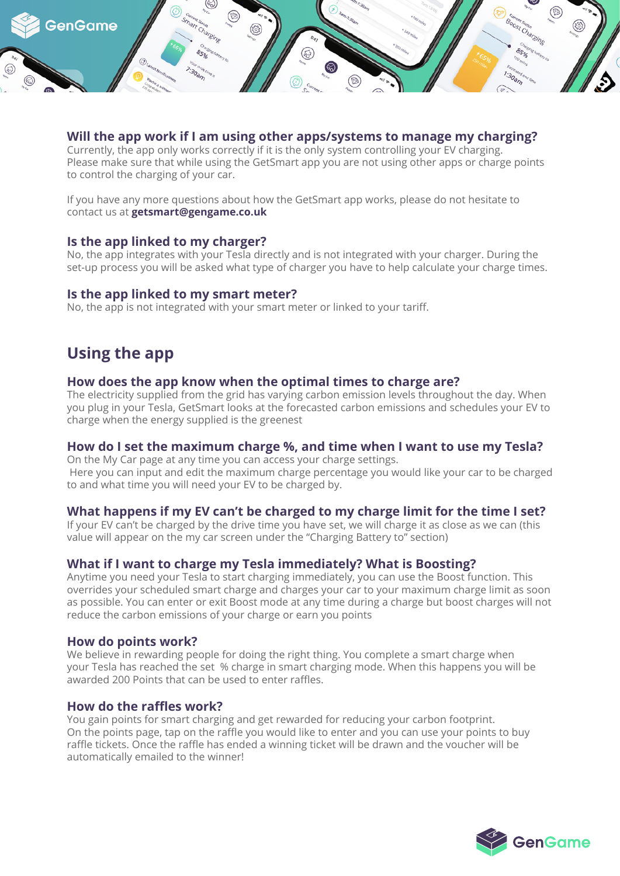

### **Will the app work if I am using other apps/systems to manage my charging?**

Currently, the app only works correctly if it is the only system controlling your EV charging. Please make sure that while using the GetSmart app you are not using other apps or charge points to control the charging of your car.

If you have any more questions about how the GetSmart app works, please do not hesitate to contact us at **getsmart@gengame.co.uk**

### **Is the app linked to my charger?**

No, the app integrates with your Tesla directly and is not integrated with your charger. During the set-up process you will be asked what type of charger you have to help calculate your charge times.

#### **Is the app linked to my smart meter?**

No, the app is not integrated with your smart meter or linked to your tariff.

## **Using the app**

#### **How does the app know when the optimal times to charge are?**

The electricity supplied from the grid has varying carbon emission levels throughout the day. When you plug in your Tesla, GetSmart looks at the forecasted carbon emissions and schedules your EV to charge when the energy supplied is the greenest

## **How do I set the maximum charge %, and time when I want to use my Tesla?**

On the My Car page at any time you can access your charge settings. Here you can input and edit the maximum charge percentage you would like your car to be charged to and what time you will need your EV to be charged by.

## **What happens if my EV can't be charged to my charge limit for the time I set?**

If your EV can't be charged by the drive time you have set, we will charge it as close as we can (this value will appear on the my car screen under the "Charging Battery to" section)

## **What if I want to charge my Tesla immediately? What is Boosting?**

Anytime you need your Tesla to start charging immediately, you can use the Boost function. This overrides your scheduled smart charge and charges your car to your maximum charge limit as soon as possible. You can enter or exit Boost mode at any time during a charge but boost charges will not reduce the carbon emissions of your charge or earn you points

## **How do points work?**

We believe in rewarding people for doing the right thing. You complete a smart charge when your Tesla has reached the set % charge in smart charging mode. When this happens you will be awarded 200 Points that can be used to enter raffles.

## **How do the raffles work?**

You gain points for smart charging and get rewarded for reducing your carbon footprint. On the points page, tap on the raffle you would like to enter and you can use your points to buy raffle tickets. Once the raffle has ended a winning ticket will be drawn and the voucher will be automatically emailed to the winner!